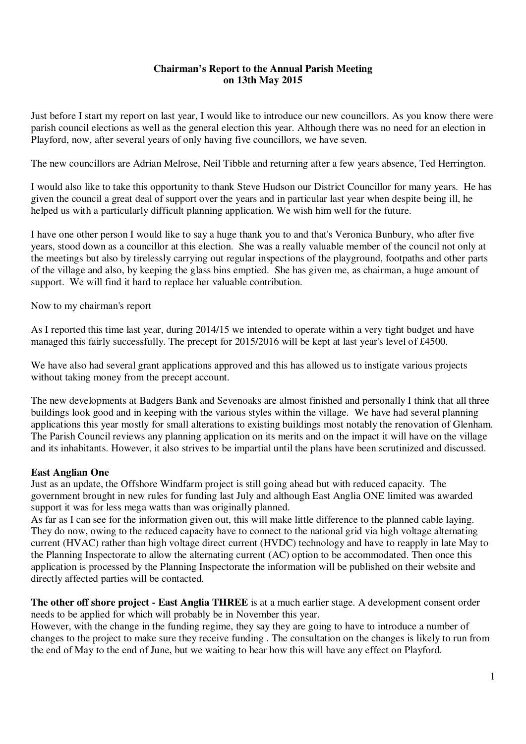### **Chairman's Report to the Annual Parish Meeting on 13th May 2015**

Just before I start my report on last year, I would like to introduce our new councillors. As you know there were parish council elections as well as the general election this year. Although there was no need for an election in Playford, now, after several years of only having five councillors, we have seven.

The new councillors are Adrian Melrose, Neil Tibble and returning after a few years absence, Ted Herrington.

I would also like to take this opportunity to thank Steve Hudson our District Councillor for many years. He has given the council a great deal of support over the years and in particular last year when despite being ill, he helped us with a particularly difficult planning application. We wish him well for the future.

I have one other person I would like to say a huge thank you to and that's Veronica Bunbury, who after five years, stood down as a councillor at this election. She was a really valuable member of the council not only at the meetings but also by tirelessly carrying out regular inspections of the playground, footpaths and other parts of the village and also, by keeping the glass bins emptied. She has given me, as chairman, a huge amount of support. We will find it hard to replace her valuable contribution.

Now to my chairman's report

As I reported this time last year, during 2014/15 we intended to operate within a very tight budget and have managed this fairly successfully. The precept for 2015/2016 will be kept at last year's level of £4500.

We have also had several grant applications approved and this has allowed us to instigate various projects without taking money from the precept account.

The new developments at Badgers Bank and Sevenoaks are almost finished and personally I think that all three buildings look good and in keeping with the various styles within the village. We have had several planning applications this year mostly for small alterations to existing buildings most notably the renovation of Glenham. The Parish Council reviews any planning application on its merits and on the impact it will have on the village and its inhabitants. However, it also strives to be impartial until the plans have been scrutinized and discussed.

#### **East Anglian One**

Just as an update, the Offshore Windfarm project is still going ahead but with reduced capacity. The government brought in new rules for funding last July and although East Anglia ONE limited was awarded support it was for less mega watts than was originally planned.

As far as I can see for the information given out, this will make little difference to the planned cable laying. They do now, owing to the reduced capacity have to connect to the national grid via high voltage alternating current (HVAC) rather than high voltage direct current (HVDC) technology and have to reapply in late May to the Planning Inspectorate to allow the alternating current (AC) option to be accommodated. Then once this application is processed by the Planning Inspectorate the information will be published on their website and directly affected parties will be contacted.

**The other off shore project - East Anglia THREE** is at a much earlier stage. A development consent order needs to be applied for which will probably be in November this year.

However, with the change in the funding regime, they say they are going to have to introduce a number of changes to the project to make sure they receive funding . The consultation on the changes is likely to run from the end of May to the end of June, but we waiting to hear how this will have any effect on Playford.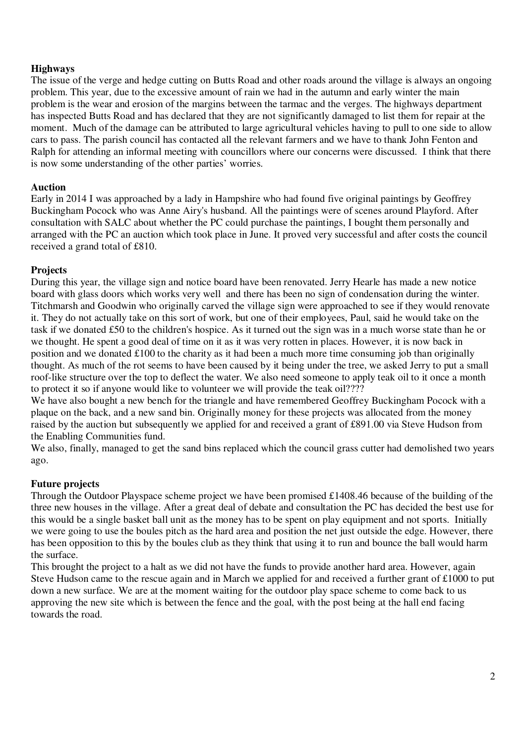## **Highways**

The issue of the verge and hedge cutting on Butts Road and other roads around the village is always an ongoing problem. This year, due to the excessive amount of rain we had in the autumn and early winter the main problem is the wear and erosion of the margins between the tarmac and the verges. The highways department has inspected Butts Road and has declared that they are not significantly damaged to list them for repair at the moment. Much of the damage can be attributed to large agricultural vehicles having to pull to one side to allow cars to pass. The parish council has contacted all the relevant farmers and we have to thank John Fenton and Ralph for attending an informal meeting with councillors where our concerns were discussed. I think that there is now some understanding of the other parties' worries.

#### **Auction**

Early in 2014 I was approached by a lady in Hampshire who had found five original paintings by Geoffrey Buckingham Pocock who was Anne Airy's husband. All the paintings were of scenes around Playford. After consultation with SALC about whether the PC could purchase the paintings, I bought them personally and arranged with the PC an auction which took place in June. It proved very successful and after costs the council received a grand total of £810.

#### **Projects**

During this year, the village sign and notice board have been renovated. Jerry Hearle has made a new notice board with glass doors which works very well and there has been no sign of condensation during the winter. Titchmarsh and Goodwin who originally carved the village sign were approached to see if they would renovate it. They do not actually take on this sort of work, but one of their employees, Paul, said he would take on the task if we donated £50 to the children's hospice. As it turned out the sign was in a much worse state than he or we thought. He spent a good deal of time on it as it was very rotten in places. However, it is now back in position and we donated £100 to the charity as it had been a much more time consuming job than originally thought. As much of the rot seems to have been caused by it being under the tree, we asked Jerry to put a small roof-like structure over the top to deflect the water. We also need someone to apply teak oil to it once a month to protect it so if anyone would like to volunteer we will provide the teak oil????

We have also bought a new bench for the triangle and have remembered Geoffrey Buckingham Pocock with a plaque on the back, and a new sand bin. Originally money for these projects was allocated from the money raised by the auction but subsequently we applied for and received a grant of £891.00 via Steve Hudson from the Enabling Communities fund.

We also, finally, managed to get the sand bins replaced which the council grass cutter had demolished two years ago.

#### **Future projects**

Through the Outdoor Playspace scheme project we have been promised £1408.46 because of the building of the three new houses in the village. After a great deal of debate and consultation the PC has decided the best use for this would be a single basket ball unit as the money has to be spent on play equipment and not sports. Initially we were going to use the boules pitch as the hard area and position the net just outside the edge. However, there has been opposition to this by the boules club as they think that using it to run and bounce the ball would harm the surface.

This brought the project to a halt as we did not have the funds to provide another hard area. However, again Steve Hudson came to the rescue again and in March we applied for and received a further grant of £1000 to put down a new surface. We are at the moment waiting for the outdoor play space scheme to come back to us approving the new site which is between the fence and the goal, with the post being at the hall end facing towards the road.